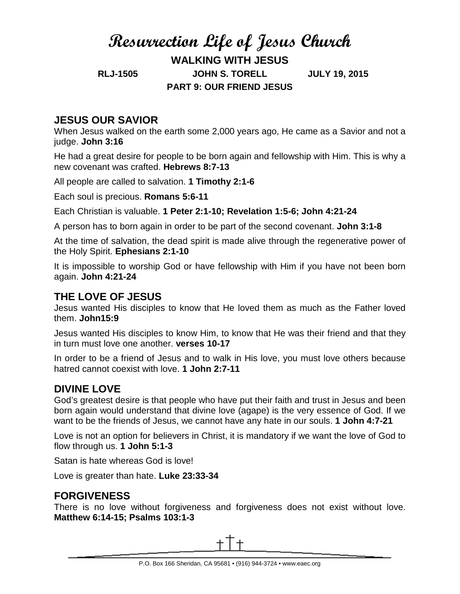# **Resurrection Life of Jesus Church WALKING WITH JESUS RLJ-1505 JOHN S. TORELL JULY 19, 2015 PART 9: OUR FRIEND JESUS**

## **JESUS OUR SAVIOR**

When Jesus walked on the earth some 2,000 years ago, He came as a Savior and not a judge. **John 3:16**

He had a great desire for people to be born again and fellowship with Him. This is why a new covenant was crafted. **Hebrews 8:7-13**

All people are called to salvation. **1 Timothy 2:1-6**

Each soul is precious. **Romans 5:6-11**

Each Christian is valuable. **1 Peter 2:1-10; Revelation 1:5-6; John 4:21-24**

A person has to born again in order to be part of the second covenant. **John 3:1-8**

At the time of salvation, the dead spirit is made alive through the regenerative power of the Holy Spirit. **Ephesians 2:1-10**

It is impossible to worship God or have fellowship with Him if you have not been born again. **John 4:21-24**

#### **THE LOVE OF JESUS**

Jesus wanted His disciples to know that He loved them as much as the Father loved them. **John15:9**

Jesus wanted His disciples to know Him, to know that He was their friend and that they in turn must love one another. **verses 10-17**

In order to be a friend of Jesus and to walk in His love, you must love others because hatred cannot coexist with love. **1 John 2:7-11**

## **DIVINE LOVE**

God's greatest desire is that people who have put their faith and trust in Jesus and been born again would understand that divine love (agape) is the very essence of God. If we want to be the friends of Jesus, we cannot have any hate in our souls. **1 John 4:7-21**

Love is not an option for believers in Christ, it is mandatory if we want the love of God to flow through us. **1 John 5:1-3**

Satan is hate whereas God is love!

Love is greater than hate. **Luke 23:33-34**

## **FORGIVENESS**

There is no love without forgiveness and forgiveness does not exist without love. **Matthew 6:14-15; Psalms 103:1-3**